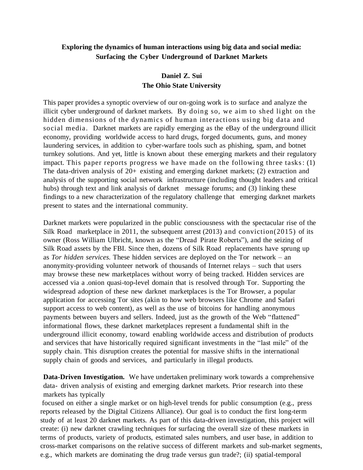## **Exploring the dynamics of human interactions using big data and social media: Surfacing the Cyber Underground of Darknet Markets**

## **Daniel Z. Sui The Ohio State University**

This paper provides a synoptic overview of our on-going work is to surface and analyze the illicit cyber underground of darknet markets. By doing so, we aim to shed light on the hidden dimensions of the dynamics of human interactions using big data and social media. Darknet markets are rapidly emerging as the eBay of the underground illicit economy, providing worldwide access to hard drugs, forged documents, guns, and money laundering services, in addition to cyber-warfare tools such as phishing, spam, and botnet turnkey solutions. And yet, little is known about these emerging markets and their regulatory impact. This paper reports progress we have made on the following three tasks: (1) The data-driven analysis of 20+ existing and emerging darknet markets; (2) extraction and analysis of the supporting social network infrastructure (including thought leaders and critical hubs) through text and link analysis of darknet message forums; and (3) linking these findings to a new characterization of the regulatory challenge that emerging darknet markets present to states and the international community.

Darknet markets were popularized in the public consciousness with the spectacular rise of the Silk Road marketplace in 2011, the subsequent arrest (2013) and conviction(2015) of its owner (Ross William Ulbricht, known as the "Dread Pirate Roberts"), and the seizing of Silk Road assets by the FBI. Since then, dozens of Silk Road replacements have sprung up as *Tor hidden services.* These hidden services are deployed on the Tor network – an anonymity-providing volunteer network of thousands of Internet relays – such that users may browse these new marketplaces without worry of being tracked. Hidden services are accessed via a .onion quasi-top-level domain that is resolved through Tor. Supporting the widespread adoption of these new darknet marketplaces is the Tor Browser, a popular application for accessing Tor sites (akin to how web browsers like Chrome and Safari support access to web content), as well as the use of bitcoins for handling anonymous payments between buyers and sellers. Indeed, just as the growth of the Web "flattened" informational flows, these darknet marketplaces represent a fundamental shift in the underground illicit economy, toward enabling worldwide access and distribution of products and services that have historically required significant investments in the "last mile" of the supply chain. This disruption creates the potential for massive shifts in the international supply chain of goods and services, and particularly in illegal products.

**Data-Driven Investigation.** We have undertaken preliminary work towards a comprehensive data- driven analysis of existing and emerging darknet markets. Prior research into these markets has typically

focused on either a single market or on high-level trends for public consumption (e.g., press reports released by the Digital Citizens Alliance). Our goal is to conduct the first long-term study of at least 20 darknet markets. As part of this data-driven investigation, this project will create: (i) new darknet crawling techniques for surfacing the overall size of these markets in terms of products, variety of products, estimated sales numbers, and user base, in addition to cross-market comparisons on the relative success of different markets and sub-market segments, e.g., which markets are dominating the drug trade versus gun trade?; (ii) spatial-temporal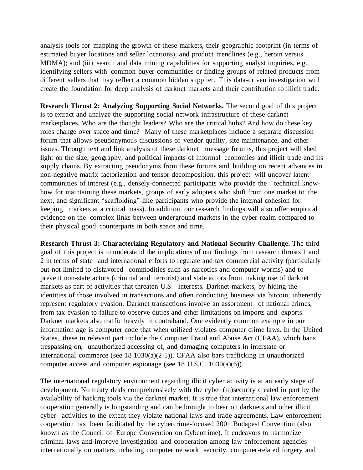analysis tools for mapping the growth of these markets, their geographic footprint (in terms of estimated buyer locations and seller locations), and product trendlines (e.g., heroin versus MDMA); and (iii) search and data mining capabilities for supporting analyst inquiries, e.g., identifying sellers with common buyer communities or finding groups of related products from different sellers that may reflect a common hidden supplier. This data-driven investigation will create the foundation for deep analysis of darknet markets and their contribution to illicit trade.

**Research Thrust 2: Analyzing Supporting Social Networks.** The second goal of this project is to extract and analyze the supporting social network infrastructure of these darknet marketplaces. Who are the thought leaders? Who are the critical hubs? And how do these key roles change over space and time? Many of these marketplaces include a separate discussion forum that allows pseudonymous discussions of vendor quality, site maintenance, and other issues. Through text and link analysis of these darknet message forums, this project will shed light on the size, geography, and political impacts of informal economies and illicit trade and its supply chains. By extracting pseudonyms from these forums and building on recent advances in non-negative matrix factorization and tensor decomposition, this project will uncover latent communities of interest (e.g., densely-connected participants who provide the technical knowhow for maintaining these markets, groups of early adopters who shift from one market to the next, and significant "scaffolding"-like participants who provide the internal cohesion for keeping markets at a critical mass). In addition, our research findings will also offer empirical evidence on the complex links between underground markets in the cyber realm compared to their physical good counterparts in both space and time.

**Research Thrust 3: Characterizing Regulatory and National Security Challenge.** The third goal of this project is to understand the implications of our findings from research thrusts 1 and 2 in terms of state and international efforts to regulate and tax commercial activity (particularly but not limited to disfavored commodities such as narcotics and computer worms) and to prevent non-state actors (criminal and terrorist) and state actors from making use of darknet markets as part of activities that threaten U.S. interests. Darknet markets, by hiding the identities of those involved in transactions and often conducting business via bitcoin, inherently represent regulatory evasion. Darknet transactions involve an assortment of national crimes, from tax evasion to failure to observe duties and other limitations on imports and exports. Darknet markets also traffic heavily in contraband. One evidently common example in our information age is computer code that when utilized violates computer crime laws. In the United States, these in relevant part include the Computer Fraud and Abuse Act (CFAA), which bans trespassing on, unauthorized accessing of, and damaging computers in interstate or international commerce (see 18 1030(a)(2-5)). CFAA also bars trafficking in unauthorized computer access and computer espionage (see 18 U.S.C. 1030(a)(6)).

The international regulatory environment regarding illicit cyber activity is at an early stage of development. No treaty deals comprehensively with the cyber (in)security created in part by the availability of hacking tools via the darknet market. It is true that international law enforcement cooperation generally is longstanding and can be brought to bear on darknets and other illicit cyber activities to the extent they violate national laws and trade agreements. Law enforcement cooperation has been facilitated by the cybercrime-focused 2001 Budapest Convention (also known as the Council of Europe Convention on Cybercrime). It endeavors to harmonize criminal laws and improve investigation and cooperation among law enforcement agencies internationally on matters including computer network security, computer-related forgery and